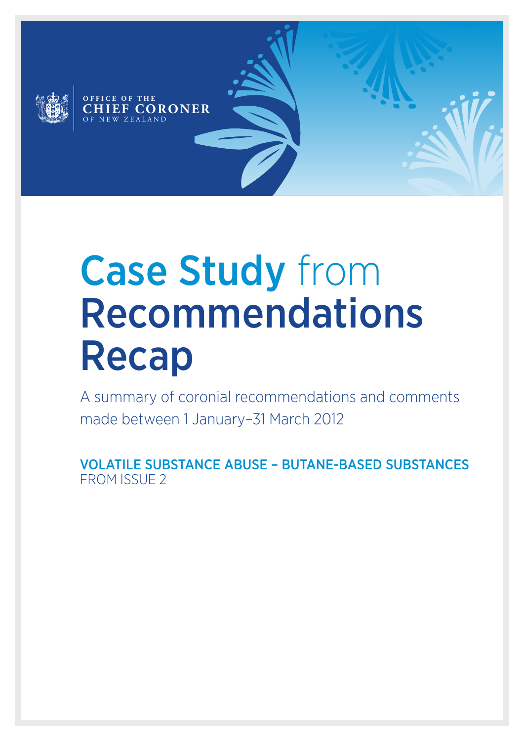

# Case Study from Recommendations Recap

A summary of coronial recommendations and comments made between 1 January–31 March 2012

VOLATILE SUBSTANCE ABUSE – BUTANE-BASED SUBSTANCES FROM ISSUE 2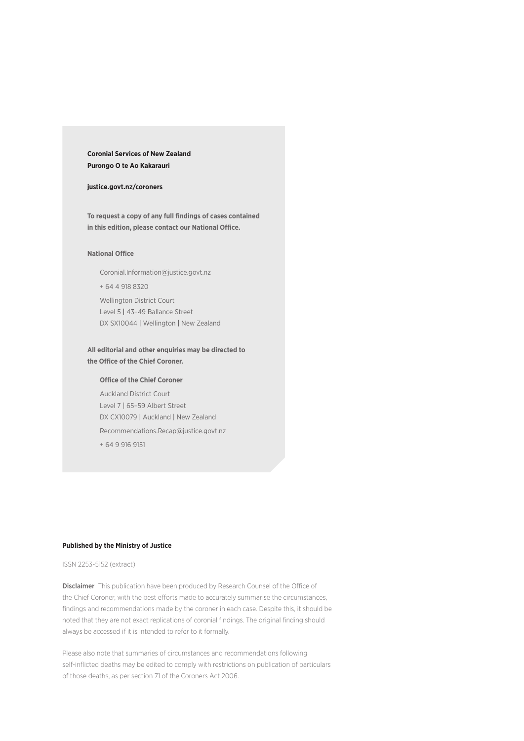### **Coronial Services of New Zealand Purongo O te Ao Kakarauri**

### **[justice.govt.nz/coroners](http://www.justice.govt.nz/courts/coroners-court/)**

**To request a copy of any full findings of cases contained in this edition, please contact our National Office.**

#### **National Office**

Coronial.Information[@justice.govt.nz](mailto:Coronial.Information%40justice.govt.nz?subject=Recommendations%20Recap) + 64 4 918 8320 Wellington District Court Level 5 | 43–49 Ballance Street DX SX10044 | Wellington | New Zealand

### **All editorial and other enquiries may be directed to the Office of the Chief Coroner.**

#### **Office of the Chief Coroner**

Auckland District Court Level 7 | 65–59 Albert Street DX CX10079 | Auckland | New Zealand

[Recommendations.Recap@justice.govt.nz](mailto:Recommendations.Recap%40justice.govt.nz?subject=Recommendations%20Recap)

+ 64 9 916 9151

#### **Published by the Ministry of Justice**

### ISSN 2253-5152 (extract)

Disclaimer This publication have been produced by Research Counsel of the Office of the Chief Coroner, with the best efforts made to accurately summarise the circumstances, findings and recommendations made by the coroner in each case. Despite this, it should be noted that they are not exact replications of coronial findings. The original finding should always be accessed if it is intended to refer to it formally.

Please also note that summaries of circumstances and recommendations following self-inflicted deaths may be edited to comply with restrictions on publication of particulars of those deaths, as per section 71 of the Coroners Act 2006.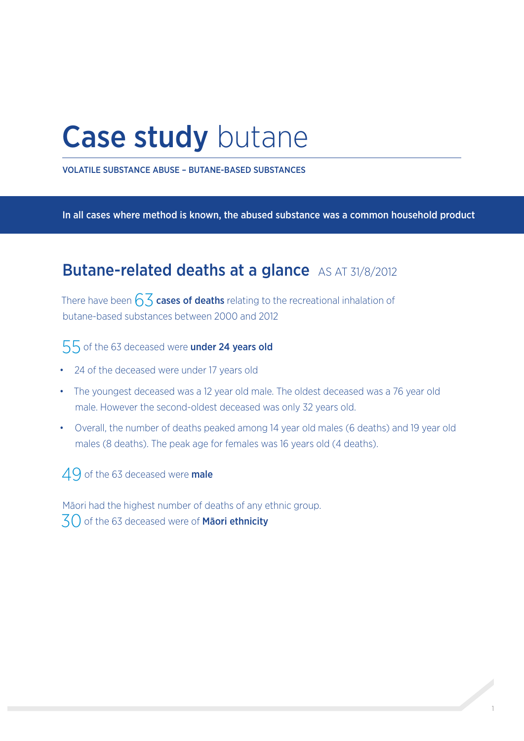## Case study butane

VOLATILE SUBSTANCE ABUSE – BUTANE-BASED SUBSTANCES

In all cases where method is known, the abused substance was a common household product

### Butane-related deaths at a glance AS AT 31/8/2012

There have been  $6\overline{3}$  cases of deaths relating to the recreational inhalation of butane-based substances between 2000 and 2012

### 55 of the 63 deceased were **under 24 years old**

- • 24 of the deceased were under 17 years old
- The youngest deceased was a 12 year old male. The oldest deceased was a 76 year old male. However the second-oldest deceased was only 32 years old.
- • Overall, the number of deaths peaked among 14 year old males (6 deaths) and 19 year old males (8 deaths). The peak age for females was 16 years old (4 deaths).

### 49 of the 63 deceased were male

Māori had the highest number of deaths of any ethnic group. 30 of the 63 deceased were of Maori ethnicity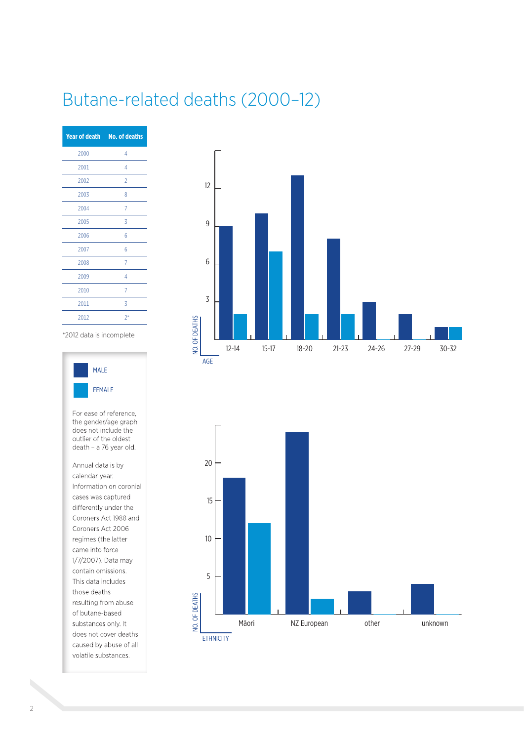### Butane-related deaths (2000–12)

|      | Year of death No. of deaths |
|------|-----------------------------|
| 2000 | 4                           |
| 2001 | 4                           |
| 2002 | $\overline{2}$              |
| 2003 | 8                           |
| 2004 | 7                           |
| 2005 | 3                           |
| 2006 | 6                           |
| 2007 | 6                           |
| 2008 | $\overline{7}$              |
| 2009 | 4                           |
| 2010 | 7                           |
| 2011 | 3                           |
| 2012 | $2^*$                       |

\*2012 data is incomplete



For ease of reference, the gender/age graph does not include the outlier of the oldest death - a 76 year old.

Annual data is by calendar year. Information on coronial cases was captured differently under the Coroners Act 1988 and Coroners Act 2006 regimes (the latter came into force 1/7/2007). Data may contain omissions. This data includes those deaths resulting from abuse of butane-based substances only. It does not cover deaths caused by abuse of all volatile substances.



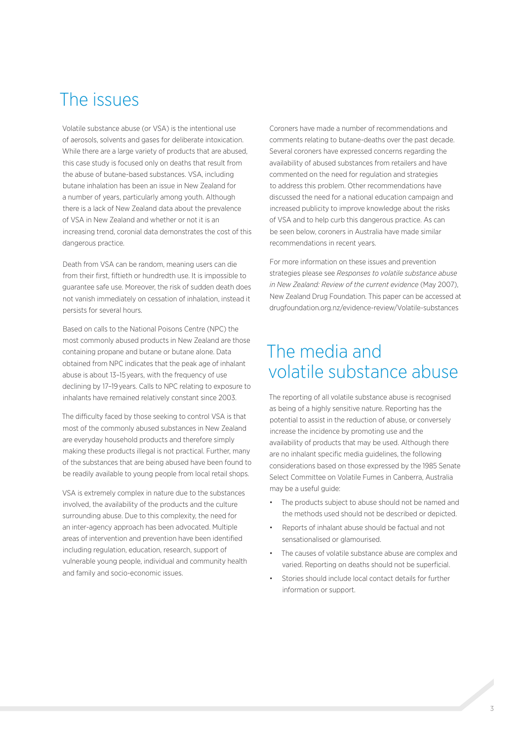### The issues

Volatile substance abuse (or VSA) is the intentional use of aerosols, solvents and gases for deliberate intoxication. While there are a large variety of products that are abused, this case study is focused only on deaths that result from the abuse of butane-based substances. VSA, including butane inhalation has been an issue in New Zealand for a number of years, particularly among youth. Although there is a lack of New Zealand data about the prevalence of VSA in New Zealand and whether or not it is an increasing trend, coronial data demonstrates the cost of this dangerous practice.

Death from VSA can be random, meaning users can die from their first, fiftieth or hundredth use. It is impossible to guarantee safe use. Moreover, the risk of sudden death does not vanish immediately on cessation of inhalation, instead it persists for several hours.

Based on calls to the National Poisons Centre (NPC) the most commonly abused products in New Zealand are those containing propane and butane or butane alone. Data obtained from NPC indicates that the peak age of inhalant abuse is about 13–15 years, with the frequency of use declining by 17–19 years. Calls to NPC relating to exposure to inhalants have remained relatively constant since 2003.

The difficulty faced by those seeking to control VSA is that most of the commonly abused substances in New Zealand are everyday household products and therefore simply making these products illegal is not practical. Further, many of the substances that are being abused have been found to be readily available to young people from local retail shops.

VSA is extremely complex in nature due to the substances involved, the availability of the products and the culture surrounding abuse. Due to this complexity, the need for an inter-agency approach has been advocated. Multiple areas of intervention and prevention have been identified including regulation, education, research, support of vulnerable young people, individual and community health and family and socio-economic issues.

Coroners have made a number of recommendations and comments relating to butane-deaths over the past decade. Several coroners have expressed concerns regarding the availability of abused substances from retailers and have commented on the need for regulation and strategies to address this problem. Other recommendations have discussed the need for a national education campaign and increased publicity to improve knowledge about the risks of VSA and to help curb this dangerous practice. As can be seen below, coroners in Australia have made similar recommendations in recent years.

For more information on these issues and prevention strategies please see *Responses to volatile substance abuse in New Zealand: Review of the current evidence* (May 2007), New Zealand Drug Foundation. This paper can be accessed at [drugfoundation.org.nz/evidence-review/Volatile-substances](http://drugfoundation.org.nz/evidence-review/Volatile-substances)

### The media and volatile substance abuse

The reporting of all volatile substance abuse is recognised as being of a highly sensitive nature. Reporting has the potential to assist in the reduction of abuse, or conversely increase the incidence by promoting use and the availability of products that may be used. Although there are no inhalant specific media guidelines, the following considerations based on those expressed by the 1985 Senate Select Committee on Volatile Fumes in Canberra, Australia may be a useful quide:

- The products subject to abuse should not be named and the methods used should not be described or depicted.
- Reports of inhalant abuse should be factual and not sensationalised or glamourised.
- The causes of volatile substance abuse are complex and varied. Reporting on deaths should not be superficial.
- Stories should include local contact details for further information or support.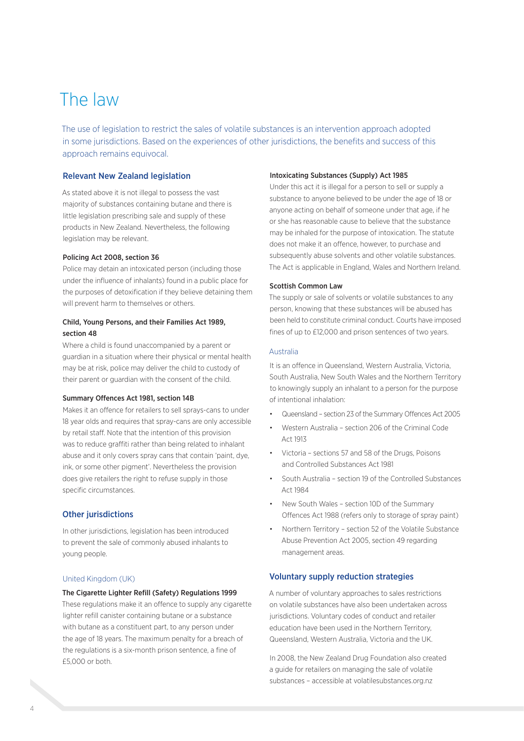### The law

The use of legislation to restrict the sales of volatile substances is an intervention approach adopted in some jurisdictions. Based on the experiences of other jurisdictions, the benefits and success of this approach remains equivocal.

### Relevant New Zealand legislation

As stated above it is not illegal to possess the vast majority of substances containing butane and there is little legislation prescribing sale and supply of these products in New Zealand. Nevertheless, the following legislation may be relevant.

### Policing Act 2008, section 36

Police may detain an intoxicated person (including those under the influence of inhalants) found in a public place for the purposes of detoxification if they believe detaining them will prevent harm to themselves or others.

### Child, Young Persons, and their Families Act 1989, section 48

Where a child is found unaccompanied by a parent or guardian in a situation where their physical or mental health may be at risk, police may deliver the child to custody of their parent or guardian with the consent of the child.

### Summary Offences Act 1981, section 14B

Makes it an offence for retailers to sell sprays-cans to under 18 year olds and requires that spray-cans are only accessible by retail staff. Note that the intention of this provision was to reduce graffiti rather than being related to inhalant abuse and it only covers spray cans that contain 'paint, dye, ink, or some other pigment'. Nevertheless the provision does give retailers the right to refuse supply in those specific circumstances.

### Other jurisdictions

In other jurisdictions, legislation has been introduced to prevent the sale of commonly abused inhalants to young people.

### United Kingdom (UK)

### The Cigarette Lighter Refill (Safety) Regulations 1999

These regulations make it an offence to supply any cigarette lighter refill canister containing butane or a substance with butane as a constituent part, to any person under the age of 18 years. The maximum penalty for a breach of the regulations is a six-month prison sentence, a fine of £5,000 or both.

#### Intoxicating Substances (Supply) Act 1985

Under this act it is illegal for a person to sell or supply a substance to anyone believed to be under the age of 18 or anyone acting on behalf of someone under that age, if he or she has reasonable cause to believe that the substance may be inhaled for the purpose of intoxication. The statute does not make it an offence, however, to purchase and subsequently abuse solvents and other volatile substances. The Act is applicable in England, Wales and Northern Ireland.

### Scottish Common Law

The supply or sale of solvents or volatile substances to any person, knowing that these substances will be abused has been held to constitute criminal conduct. Courts have imposed fines of up to £12,000 and prison sentences of two years.

#### Australia

It is an offence in Queensland, Western Australia, Victoria, South Australia, New South Wales and the Northern Territory to knowingly supply an inhalant to a person for the purpose of intentional inhalation:

- Queensland section 23 of the Summary Offences Act 2005
- Western Australia section 206 of the Criminal Code Act 1913
- Victoria sections 57 and 58 of the Drugs, Poisons and Controlled Substances Act 1981
- South Australia section 19 of the Controlled Substances Act 1984
- New South Wales section 10D of the Summary Offences Act 1988 (refers only to storage of spray paint)
- Northern Territory section 52 of the Volatile Substance Abuse Prevention Act 2005, section 49 regarding management areas.

### Voluntary supply reduction strategies

A number of voluntary approaches to sales restrictions on volatile substances have also been undertaken across jurisdictions. Voluntary codes of conduct and retailer education have been used in the Northern Territory, Queensland, Western Australia, Victoria and the UK.

In 2008, the New Zealand Drug Foundation also created a guide for retailers on managing the sale of volatile substances – accessible at [volatilesubstances.org.nz](http://volatilesubstances.org.nz/)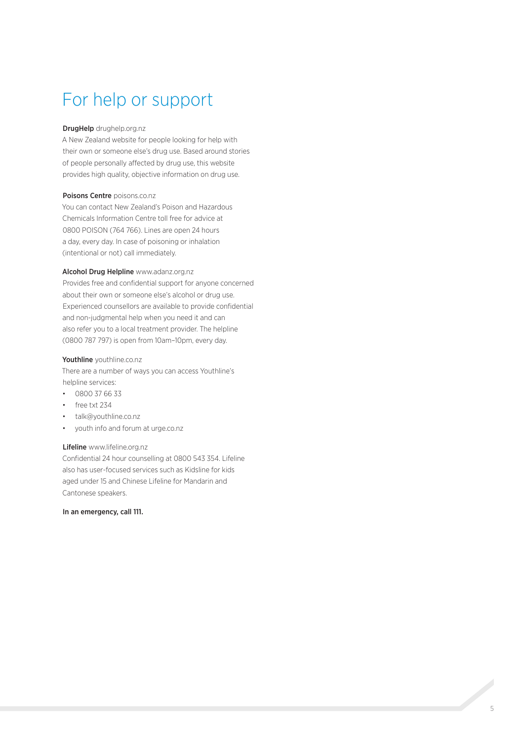### For help or support

### DrugHelp [drughelp.org.nz](http://drughelp.org.nz/)

[A New Zealand website for people looking for help with](http://drughelp.org.nz/)  [their own or someone else's drug use. Based around stories](http://drughelp.org.nz/)  [of people personally affected by drug use, this website](http://drughelp.org.nz/)  [provides high quality, objective information on drug use.](http://drughelp.org.nz/) 

### [Poisons Centre](http://www.poisons.co.nz/) poisons.co.nz

[You can contact New Zealand's Poison and Hazardous](http://www.poisons.co.nz/)  [Chemicals Information Centre toll free for advice at](http://www.poisons.co.nz/)  [0800 POISON \(764 766\). Lines are open 24 hours](http://www.poisons.co.nz/)  [a day, every day. In case of poisoning or inhalation](http://www.poisons.co.nz/)  [\(intentional or not\) call immediately.](http://www.poisons.co.nz/)

### [Alcohol Drug Helpline](http://www.adanz.org.nz/Helpline/home) www.adanz.org.nz

[Provides free and confidential support for anyone concerned](http://www.adanz.org.nz/Helpline/home)  [about their own or someone else's alcohol or drug use.](http://www.adanz.org.nz/Helpline/home)  [Experienced counsellors are available to provide confidential](http://www.adanz.org.nz/Helpline/home)  [and non-judgmental help when you need it and can](http://www.adanz.org.nz/Helpline/home)  [also refer you to a local treatment provider. The helpline](http://www.adanz.org.nz/Helpline/home)  [\(0800 787 797\) is open from 10am–10pm, every day.](http://www.adanz.org.nz/Helpline/home)

### Youthline [youthline.co.nz](http://www.youthline.co.nz/)

[There are a number of ways you can access Youthline's](http://www.youthline.co.nz/)  [helpline services:](http://www.youthline.co.nz/)

- • 0800 37 66 33
- free txt 234
- talk@youthline.co.nz
- [youth info and forum at urge.co.nz](http://urge.co.nz/)

### Lifeline [www.lifeline.org.nz](http://www.lifeline.org.nz/)

[Confidential 24 hour counselling at 0800 543 354. Lifeline](http://www.lifeline.org.nz/)  [also has user-focused services such as Kidsline for kids](http://www.lifeline.org.nz/)  [aged under 15 and Chinese Lifeline for Mandarin and](http://www.lifeline.org.nz/)  [Cantonese speakers.](http://www.lifeline.org.nz/)

### In an emergency, call 111.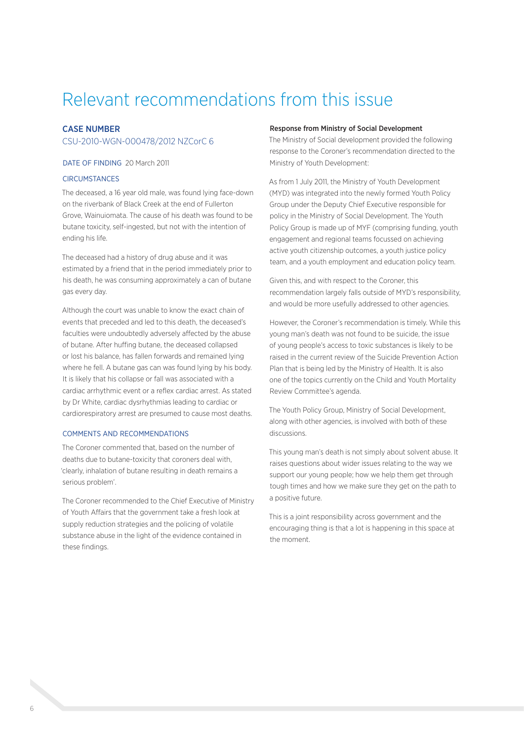### Relevant recommendations from this issue

### CASE NUMBER

### CSU-2010-WGN-000478/2012 NZCorC 6

### DATE OF FINDING 20 March 2011

### **CIRCUMSTANCES**

The deceased, a 16 year old male, was found lying face-down on the riverbank of Black Creek at the end of Fullerton Grove, Wainuiomata. The cause of his death was found to be butane toxicity, self-ingested, but not with the intention of ending his life.

The deceased had a history of drug abuse and it was estimated by a friend that in the period immediately prior to his death, he was consuming approximately a can of butane gas every day.

Although the court was unable to know the exact chain of events that preceded and led to this death, the deceased's faculties were undoubtedly adversely affected by the abuse of butane. After huffing butane, the deceased collapsed or lost his balance, has fallen forwards and remained lying where he fell. A butane gas can was found lying by his body. It is likely that his collapse or fall was associated with a cardiac arrhythmic event or a reflex cardiac arrest. As stated by Dr White, cardiac dysrhythmias leading to cardiac or cardiorespiratory arrest are presumed to cause most deaths.

### COMMENTS AND RECOMMENDATIONS

The Coroner commented that, based on the number of deaths due to butane-toxicity that coroners deal with, 'clearly, inhalation of butane resulting in death remains a serious problem'.

The Coroner recommended to the Chief Executive of Ministry of Youth Affairs that the government take a fresh look at supply reduction strategies and the policing of volatile substance abuse in the light of the evidence contained in these findings.

#### Response from Ministry of Social Development

The Ministry of Social development provided the following response to the Coroner's recommendation directed to the Ministry of Youth Development:

As from 1 July 2011, the Ministry of Youth Development (MYD) was integrated into the newly formed Youth Policy Group under the Deputy Chief Executive responsible for policy in the Ministry of Social Development. The Youth Policy Group is made up of MYF (comprising funding, youth engagement and regional teams focussed on achieving active youth citizenship outcomes, a youth justice policy team, and a youth employment and education policy team.

Given this, and with respect to the Coroner, this recommendation largely falls outside of MYD's responsibility, and would be more usefully addressed to other agencies.

However, the Coroner's recommendation is timely. While this young man's death was not found to be suicide, the issue of young people's access to toxic substances is likely to be raised in the current review of the Suicide Prevention Action Plan that is being led by the Ministry of Health. It is also one of the topics currently on the Child and Youth Mortality Review Committee's agenda.

The Youth Policy Group, Ministry of Social Development, along with other agencies, is involved with both of these discussions.

This young man's death is not simply about solvent abuse. It raises questions about wider issues relating to the way we support our young people; how we help them get through tough times and how we make sure they get on the path to a positive future.

This is a joint responsibility across government and the encouraging thing is that a lot is happening in this space at the moment.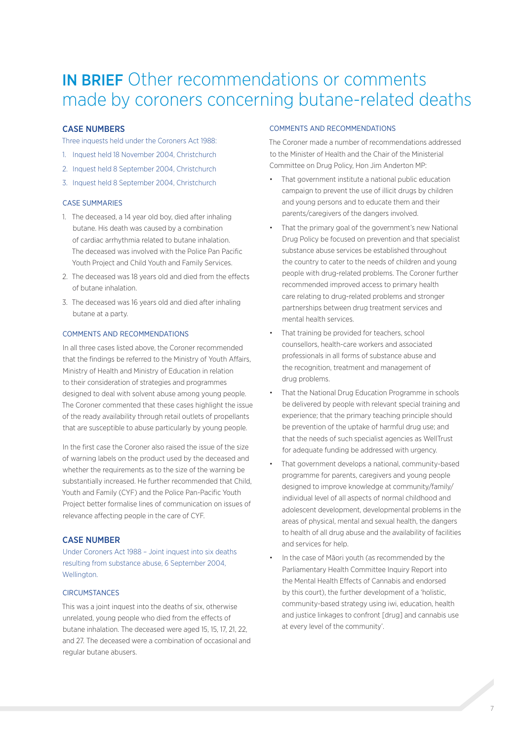### IN BRIEF Other recommendations or comments made by coroners concerning butane-related deaths

### CASE NUMBERS

Three inquests held under the Coroners Act 1988:

- 1. Inquest held 18 November 2004, Christchurch
- 2. Inquest held 8 September 2004, Christchurch
- 3. Inquest held 8 September 2004, Christchurch

### CASE SUMMARIES

- 1. The deceased, a 14 year old boy, died after inhaling butane. His death was caused by a combination of cardiac arrhythmia related to butane inhalation. The deceased was involved with the Police Pan Pacific Youth Project and Child Youth and Family Services.
- 2. The deceased was 18 years old and died from the effects of butane inhalation.
- 3. The deceased was 16 years old and died after inhaling butane at a party.

### COMMENTS AND RECOMMENDATIONS

In all three cases listed above, the Coroner recommended that the findings be referred to the Ministry of Youth Affairs, Ministry of Health and Ministry of Education in relation to their consideration of strategies and programmes designed to deal with solvent abuse among young people. The Coroner commented that these cases highlight the issue of the ready availability through retail outlets of propellants that are susceptible to abuse particularly by young people.

In the first case the Coroner also raised the issue of the size of warning labels on the product used by the deceased and whether the requirements as to the size of the warning be substantially increased. He further recommended that Child, Youth and Family (CYF) and the Police Pan-Pacific Youth Project better formalise lines of communication on issues of relevance affecting people in the care of CYF.

### CASE NUMBER

Under Coroners Act 1988 – Joint inquest into six deaths resulting from substance abuse, 6 September 2004, Wellington.

### **CIRCUMSTANCES**

This was a joint inquest into the deaths of six, otherwise unrelated, young people who died from the effects of butane inhalation. The deceased were aged 15, 15, 17, 21, 22, and 27. The deceased were a combination of occasional and regular butane abusers.

### COMMENTS AND RECOMMENDATIONS

The Coroner made a number of recommendations addressed to the Minister of Health and the Chair of the Ministerial Committee on Drug Policy, Hon Jim Anderton MP:

- That government institute a national public education campaign to prevent the use of illicit drugs by children and young persons and to educate them and their parents/caregivers of the dangers involved.
- That the primary goal of the government's new National Drug Policy be focused on prevention and that specialist substance abuse services be established throughout the country to cater to the needs of children and young people with drug-related problems. The Coroner further recommended improved access to primary health care relating to drug-related problems and stronger partnerships between drug treatment services and mental health services.
- That training be provided for teachers, school counsellors, health-care workers and associated professionals in all forms of substance abuse and the recognition, treatment and management of drug problems.
- That the National Drug Education Programme in schools be delivered by people with relevant special training and experience; that the primary teaching principle should be prevention of the uptake of harmful drug use; and that the needs of such specialist agencies as WellTrust for adequate funding be addressed with urgency.
- That government develops a national, community-based programme for parents, caregivers and young people designed to improve knowledge at community/family/ individual level of all aspects of normal childhood and adolescent development, developmental problems in the areas of physical, mental and sexual health, the dangers to health of all drug abuse and the availability of facilities and services for help.
- In the case of Māori youth (as recommended by the Parliamentary Health Committee Inquiry Report into the Mental Health Effects of Cannabis and endorsed by this court), the further development of a 'holistic, community-based strategy using iwi, education, health and justice linkages to confront [drug] and cannabis use at every level of the community'.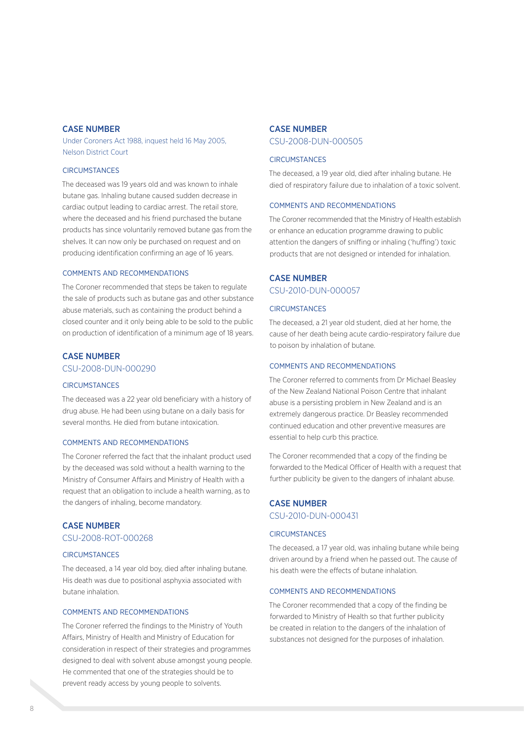### CASE NUMBER

Under Coroners Act 1988, inquest held 16 May 2005, Nelson District Court

### **CIRCUMSTANCES**

The deceased was 19 years old and was known to inhale butane gas. Inhaling butane caused sudden decrease in cardiac output leading to cardiac arrest. The retail store, where the deceased and his friend purchased the butane products has since voluntarily removed butane gas from the shelves. It can now only be purchased on request and on producing identification confirming an age of 16 years.

### COMMENTS AND RECOMMENDATIONS

The Coroner recommended that steps be taken to regulate the sale of products such as butane gas and other substance abuse materials, such as containing the product behind a closed counter and it only being able to be sold to the public on production of identification of a minimum age of 18 years.

### CASE NUMBER

CSU-2008-DUN-000290

### **CIRCUMSTANCES**

The deceased was a 22 year old beneficiary with a history of drug abuse. He had been using butane on a daily basis for several months. He died from butane intoxication.

### COMMENTS AND RECOMMENDATIONS

The Coroner referred the fact that the inhalant product used by the deceased was sold without a health warning to the Ministry of Consumer Affairs and Ministry of Health with a request that an obligation to include a health warning, as to the dangers of inhaling, become mandatory.

### CASE NUMBER

CSU-2008-ROT-000268

### **CIRCUMSTANCES**

The deceased, a 14 year old boy, died after inhaling butane. His death was due to positional asphyxia associated with butane inhalation.

### COMMENTS AND RECOMMENDATIONS

The Coroner referred the findings to the Ministry of Youth Affairs, Ministry of Health and Ministry of Education for consideration in respect of their strategies and programmes designed to deal with solvent abuse amongst young people. He commented that one of the strategies should be to prevent ready access by young people to solvents.

### CASE NUMBER CSU-2008-DUN-000505

#### **CIRCUMSTANCES**

The deceased, a 19 year old, died after inhaling butane. He died of respiratory failure due to inhalation of a toxic solvent.

#### COMMENTS AND RECOMMENDATIONS

The Coroner recommended that the Ministry of Health establish or enhance an education programme drawing to public attention the dangers of sniffing or inhaling ('huffing') toxic products that are not designed or intended for inhalation.

### CASE NUMBER

CSU-2010-DUN-000057

### **CIRCUMSTANCES**

The deceased, a 21 year old student, died at her home, the cause of her death being acute cardio-respiratory failure due to poison by inhalation of butane.

### COMMENTS AND RECOMMENDATIONS

The Coroner referred to comments from Dr Michael Beasley of the New Zealand National Poison Centre that inhalant abuse is a persisting problem in New Zealand and is an extremely dangerous practice. Dr Beasley recommended continued education and other preventive measures are essential to help curb this practice.

The Coroner recommended that a copy of the finding be forwarded to the Medical Officer of Health with a request that further publicity be given to the dangers of inhalant abuse.

### CASE NUMBER CSU-2010-DUN-000431

### **CIRCUMSTANCES**

The deceased, a 17 year old, was inhaling butane while being driven around by a friend when he passed out. The cause of his death were the effects of butane inhalation.

### COMMENTS AND RECOMMENDATIONS

The Coroner recommended that a copy of the finding be forwarded to Ministry of Health so that further publicity be created in relation to the dangers of the inhalation of substances not designed for the purposes of inhalation.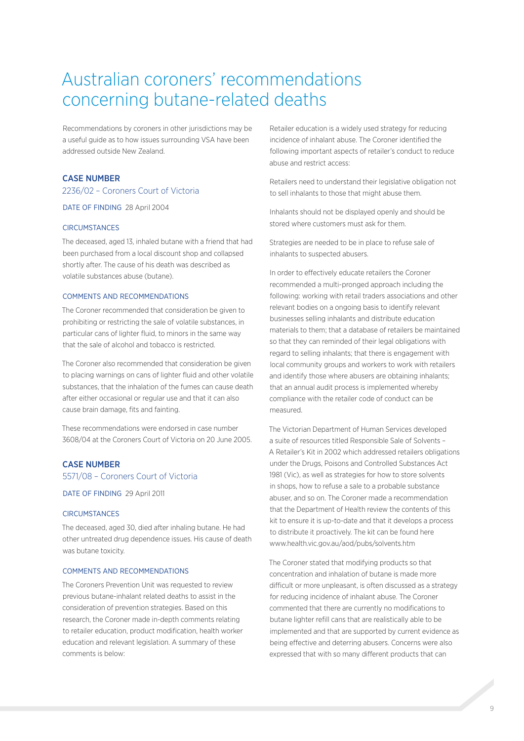### Australian coroners' recommendations concerning butane-related deaths

Recommendations by coroners in other jurisdictions may be a useful guide as to how issues surrounding VSA have been addressed outside New Zealand.

### CASE NUMBER

### 2236/02 – Coroners Court of Victoria

DATE OF FINDING 28 April 2004

### **CIRCUMSTANCES**

The deceased, aged 13, inhaled butane with a friend that had been purchased from a local discount shop and collapsed shortly after. The cause of his death was described as volatile substances abuse (butane).

### COMMENTS AND RECOMMENDATIONS

The Coroner recommended that consideration be given to prohibiting or restricting the sale of volatile substances, in particular cans of lighter fluid, to minors in the same way that the sale of alcohol and tobacco is restricted.

The Coroner also recommended that consideration be given to placing warnings on cans of lighter fluid and other volatile substances, that the inhalation of the fumes can cause death after either occasional or regular use and that it can also cause brain damage, fits and fainting.

These recommendations were endorsed in case number 3608/04 at the Coroners Court of Victoria on 20 June 2005.

### CASE NUMBER

5571/08 – Coroners Court of Victoria

DATE OF FINDING 29 April 2011

### **CIRCUMSTANCES**

The deceased, aged 30, died after inhaling butane. He had other untreated drug dependence issues. His cause of death was butane toxicity.

#### COMMENTS AND RECOMMENDATIONS

The Coroners Prevention Unit was requested to review previous butane-inhalant related deaths to assist in the consideration of prevention strategies. Based on this research, the Coroner made in-depth comments relating to retailer education, product modification, health worker education and relevant legislation. A summary of these comments is below:

Retailer education is a widely used strategy for reducing incidence of inhalant abuse. The Coroner identified the following important aspects of retailer's conduct to reduce abuse and restrict access:

Retailers need to understand their legislative obligation not to sell inhalants to those that might abuse them.

Inhalants should not be displayed openly and should be stored where customers must ask for them.

Strategies are needed to be in place to refuse sale of inhalants to suspected abusers.

In order to effectively educate retailers the Coroner recommended a multi-pronged approach including the following: working with retail traders associations and other relevant bodies on a ongoing basis to identify relevant businesses selling inhalants and distribute education materials to them; that a database of retailers be maintained so that they can reminded of their legal obligations with regard to selling inhalants; that there is engagement with local community groups and workers to work with retailers and identify those where abusers are obtaining inhalants; that an annual audit process is implemented whereby compliance with the retailer code of conduct can be measured.

The Victorian Department of Human Services developed a suite of resources titled Responsible Sale of Solvents – A Retailer's Kit in 2002 which addressed retailers obligations under the Drugs, Poisons and Controlled Substances Act 1981 (Vic), as well as strategies for how to store solvents in shops, how to refuse a sale to a probable substance abuser, and so on. The Coroner made a recommendation that the Department of Health review the contents of this kit to ensure it is up-to-date and that it develops a process to distribute it proactively. The kit can be found here www.health.vic.gov.au/aod/pubs/solvents.htm

The Coroner stated that modifying products so that concentration and inhalation of butane is made more difficult or more unpleasant, is often discussed as a strategy for reducing incidence of inhalant abuse. The Coroner commented that there are currently no modifications to butane lighter refill cans that are realistically able to be implemented and that are supported by current evidence as being effective and deterring abusers. Concerns were also expressed that with so many different products that can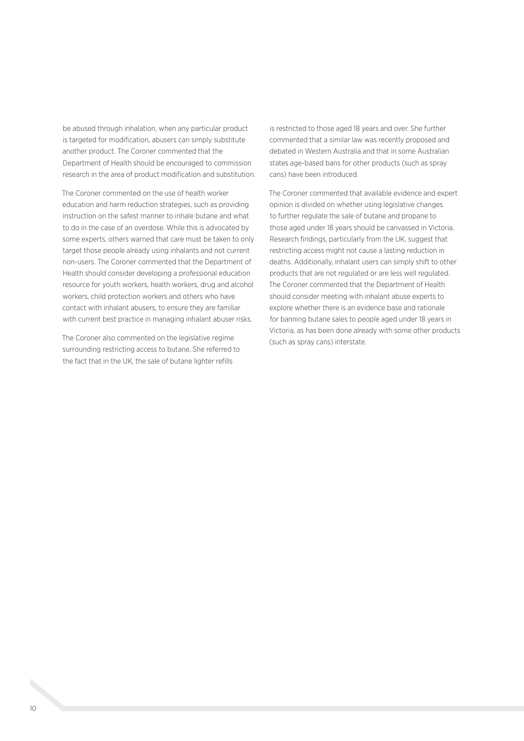be abused through inhalation, when any particular product is targeted for modification, abusers can simply substitute another product. The Coroner commented that the Department of Health should be encouraged to commission research in the area of product modification and substitution.

The Coroner commented on the use of health worker education and harm reduction strategies, such as providing instruction on the safest manner to inhale butane and what to do in the case of an overdose. While this is advocated by some experts, others warned that care must be taken to only target those people already using inhalants and not current non-users. The Coroner commented that the Department of Health should consider developing a professional education resource for youth workers, health workers, drug and alcohol workers, child protection workers and others who have contact with inhalant abusers, to ensure they are familiar with current best practice in managing inhalant abuser risks.

The Coroner also commented on the legislative regime surrounding restricting access to butane. She referred to the fact that in the UK, the sale of butane lighter refills

is restricted to those aged 18 years and over. She further commented that a similar law was recently proposed and debated in Western Australia and that in some Australian states age-based bans for other products (such as spray cans) have been introduced.

The Coroner commented that available evidence and expert opinion is divided on whether using legislative changes to further regulate the sale of butane and propane to those aged under 18 years should be canvassed in Victoria. Research findings, particularly from the UK, suggest that restricting access might not cause a lasting reduction in deaths. Additionally, inhalant users can simply shift to other products that are not regulated or are less well regulated. The Coroner commented that the Department of Health should consider meeting with inhalant abuse experts to explore whether there is an evidence base and rationale for banning butane sales to people aged under 18 years in Victoria, as has been done already with some other products (such as spray cans) interstate.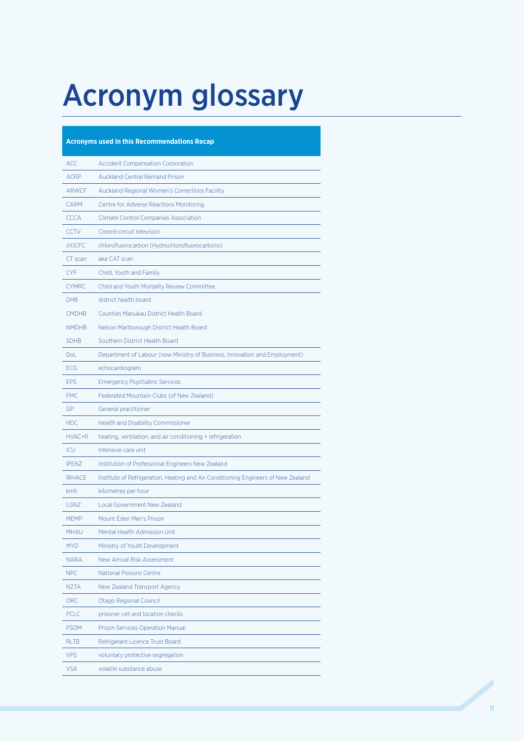## Acronym glossary

| <b>Acronyms used in this Recommendations Recap</b> |                                                                                   |
|----------------------------------------------------|-----------------------------------------------------------------------------------|
| <b>ACC</b>                                         | <b>Accident Compensation Corporation</b>                                          |
| <b>ACRP</b>                                        | <b>Auckland Central Remand Prison</b>                                             |
| <b>ARWCF</b>                                       | Auckland Regional Women's Corrections Facility                                    |
| <b>CARM</b>                                        | Centre for Adverse Reactions Monitoring                                           |
| <b>CCCA</b>                                        | <b>Climate Control Companies Association</b>                                      |
| <b>CCTV</b>                                        | Closed-circuit television                                                         |
| (H)CFC                                             | chlorofluorocarbon (Hydrochlorofluorocarbons)                                     |
| CT scan                                            | aka CAT scan                                                                      |
| <b>CYF</b>                                         | Child, Youth and Family                                                           |
| <b>CYMRC</b>                                       | Child and Youth Mortality Review Committee                                        |
| <b>DHB</b>                                         | district health board                                                             |
| <b>CMDHB</b>                                       | Counties Manukau District Health Board                                            |
| <b>NMDHB</b>                                       | Nelson Marlborough District Health Board                                          |
| <b>SDHB</b>                                        | Southern District Health Board                                                    |
| Dol                                                | Department of Labour (now Ministry of Business, Innovation and Employment)        |
| <b>ECG</b>                                         | echocardiogram                                                                    |
| <b>EPS</b>                                         | <b>Emergency Psychiatric Services</b>                                             |
| <b>FMC</b>                                         | Federated Mountain Clubs (of New Zealand)                                         |
| GP                                                 | General practitioner                                                              |
| <b>HDC</b>                                         | <b>Health and Disability Commissioner</b>                                         |
| HVAC+R                                             | heating, ventilation, and air conditioning + refrigeration                        |
| <b>ICU</b>                                         | Intensive care unit                                                               |
| <b>IPENZ</b>                                       | Institution of Professional Engineers New Zealand                                 |
| <b>IRHACE</b>                                      | Institute of Refrigeration, Heating and Air Conditioning Engineers of New Zealand |
| kmh                                                | kilometres per hour                                                               |
| LGNZ                                               | <b>Local Government New Zealand</b>                                               |
| <b>MEMP</b>                                        | Mount Eden Men's Prison                                                           |
| MHAU                                               | Mental Health Admission Unit                                                      |
| <b>MYD</b>                                         | Ministry of Youth Development                                                     |
| <b>NARA</b>                                        | New Arrival Risk Assessment                                                       |
| <b>NPC</b>                                         | <b>National Poisons Centre</b>                                                    |
| <b>NZTA</b>                                        | New Zealand Transport Agency                                                      |
| <b>ORC</b>                                         | Otago Regional Council                                                            |
| <b>PCLC</b>                                        | prisoner cell and location checks                                                 |
| <b>PSOM</b>                                        | <b>Prison Services Operation Manual</b>                                           |
| <b>RLTB</b>                                        | Refrigerant Licence Trust Board                                                   |
| <b>VPS</b>                                         | voluntary protective segregation                                                  |
| <b>VSA</b>                                         | volatile substance abuse                                                          |